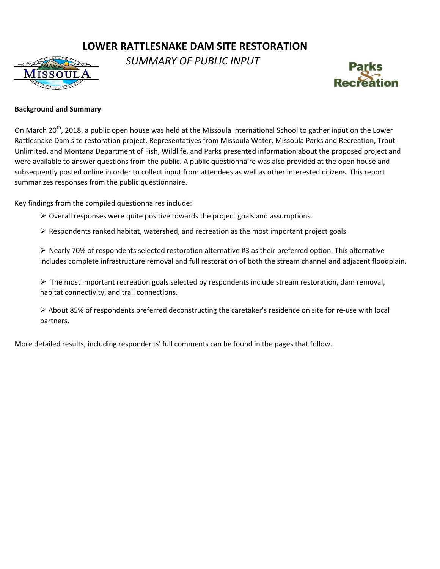# **LOWER RATTLESNAKE DAM SITE RESTORATION**



*SUMMARY OF PUBLIC INPUT* 



### **Background and Summary**

On March 20<sup>th</sup>, 2018, a public open house was held at the Missoula International School to gather input on the Lower Rattlesnake Dam site restoration project. Representatives from Missoula Water, Missoula Parks and Recreation, Trout Unlimited, and Montana Department of Fish, Wildlife, and Parks presented information about the proposed project and were available to answer questions from the public. A public questionnaire was also provided at the open house and subsequently posted online in order to collect input from attendees as well as other interested citizens. This report summarizes responses from the public questionnaire.

Key findings from the compiled questionnaires include:

- $\triangleright$  Overall responses were quite positive towards the project goals and assumptions.
- $\triangleright$  Respondents ranked habitat, watershed, and recreation as the most important project goals.

 $\triangleright$  Nearly 70% of respondents selected restoration alternative #3 as their preferred option. This alternative includes complete infrastructure removal and full restoration of both the stream channel and adjacent floodplain.

 $\triangleright$  The most important recreation goals selected by respondents include stream restoration, dam removal, habitat connectivity, and trail connections.

 About 85% of respondents preferred deconstructing the caretaker's residence on site for re-use with local partners.

More detailed results, including respondents' full comments can be found in the pages that follow.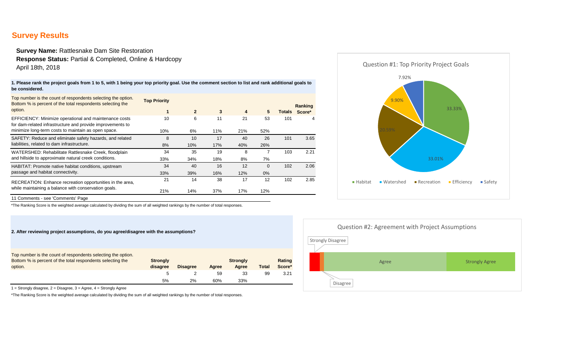# **Survey Results**

**Survey Name:** Rattlesnake Dam Site Restoration **Response Status:** Partial & Completed, Online & Hardcopy April 18th, 2018

**1. Please rank the project goals from 1 to 5, with 1 being your top priority goal. Use the comment section to list and rank additional goals to be considered.**

| Top number is the count of respondents selecting the option.<br>Bottom % is percent of the total respondents selecting the<br>option.                                       | <b>Top Priority</b><br>1 | $\overline{2}$ | 3   | 4   | 5        |     | Ranking<br>Totals Score* |
|-----------------------------------------------------------------------------------------------------------------------------------------------------------------------------|--------------------------|----------------|-----|-----|----------|-----|--------------------------|
| EFFICIENCY: Minimize operational and maintenance costs<br>for dam-related infrastructure and provide improvements to<br>minimize long-term costs to maintain as open space. | 10                       | 6              | 11  | 21  | 53       | 101 | 4                        |
|                                                                                                                                                                             | 10%                      | 6%             | 11% | 21% | 52%      |     |                          |
| SAFETY: Reduce and eliminate safety hazards, and related<br>liabilities, related to dam infrastructure.                                                                     | 8                        | 10             | 17  | 40  | 26       | 101 | 3.65                     |
|                                                                                                                                                                             | 8%                       | 10%            | 17% | 40% | 26%      |     |                          |
| WATERSHED: Rehabilitate Rattlesnake Creek, floodplain<br>and hillside to approximate natural creek conditions.                                                              | 34                       | 35             | 19  | 8   |          | 103 | 2.21                     |
|                                                                                                                                                                             | 33%                      | 34%            | 18% | 8%  | 7%       |     |                          |
| HABITAT: Promote native habitat conditions, upstream<br>passage and habitat connectivity.                                                                                   | 34                       | 40             | 16  | 12  | $\Omega$ | 102 | 2.06                     |
|                                                                                                                                                                             | 33%                      | 39%            | 16% | 12% | $0\%$    |     |                          |
| RECREATION: Enhance recreation opportunities in the area,<br>while maintaining a balance with conservation goals.                                                           | 21                       | 14             | 38  | 17  | 12       | 102 | 2.85                     |
|                                                                                                                                                                             | 21%                      | 14%            | 37% | 17% | 12%      |     |                          |
|                                                                                                                                                                             |                          |                |     |     |          |     |                          |



11 Comments - see 'Comments' Page

\*The Ranking Score is the weighted average calculated by dividing the sum of all weighted rankings by the number of total responses.



 $1 =$  Strongly disagree,  $2 =$  Disagree,  $3 =$  Agree,  $4 =$  Strongly Agree

\*The Ranking Score is the weighted average calculated by dividing the sum of all weighted rankings by the number of total responses.

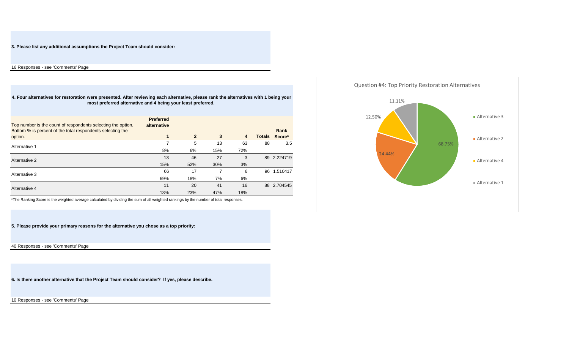**3. Please list any additional assumptions the Project Team should consider:**

16 Responses - see 'Comments' Page

**4. Four alternatives for restoration were presented. After reviewing each alternative, please rank the alternatives with 1 being your most preferred alternative and 4 being your least preferred.** 

| Top number is the count of respondents selecting the option.<br>Bottom % is percent of the total respondents selecting the<br>option. | <b>Preferred</b><br>alternative<br>1 | $\overline{2}$ | 3   | $\overline{\mathbf{4}}$ | <b>Totals</b> | Rank<br>Score* |
|---------------------------------------------------------------------------------------------------------------------------------------|--------------------------------------|----------------|-----|-------------------------|---------------|----------------|
| Alternative 1                                                                                                                         |                                      | 5              | 13  | 63                      | 88            | 3.5            |
|                                                                                                                                       | 8%                                   | 6%             | 15% | 72%                     |               |                |
| Alternative 2                                                                                                                         | 13                                   | 46             | 27  | 3                       | 89            | 2.224719       |
|                                                                                                                                       | 15%                                  | 52%            | 30% | 3%                      |               |                |
| Alternative 3                                                                                                                         | 66                                   | 17             |     | 6                       | 96            | 1.510417       |
|                                                                                                                                       | 69%                                  | 18%            | 7%  | 6%                      |               |                |
| Alternative 4                                                                                                                         | 11                                   | 20             | 41  | 16                      |               | 88 2.704545    |
|                                                                                                                                       | 13%                                  | 23%            | 47% | 18%                     |               |                |

\*The Ranking Score is the weighted average calculated by dividing the sum of all weighted rankings by the number of total responses.

**5. Please provide your primary reasons for the alternative you chose as a top priority:**

40 Responses - see 'Comments' Page

**6. Is there another alternative that the Project Team should consider? If yes, please describe.**

10 Responses - see 'Comments' Page

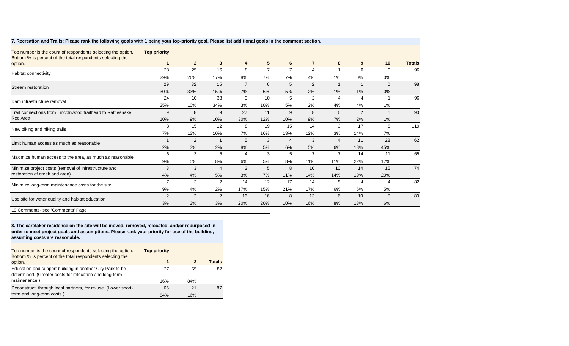| Top number is the count of respondents selecting the option.<br>Bottom % is percent of the total respondents selecting the | <b>Top priority</b> |                |                |                         |                 |                |                |                |                |          |               |
|----------------------------------------------------------------------------------------------------------------------------|---------------------|----------------|----------------|-------------------------|-----------------|----------------|----------------|----------------|----------------|----------|---------------|
| option.                                                                                                                    |                     | $\overline{2}$ | $\mathbf{3}$   | 4                       | $5\phantom{.0}$ | 6              | $\overline{7}$ | 8              | 9              | 10       | <b>Totals</b> |
| Habitat connectivity                                                                                                       | 28                  | 25             | 16             | 8                       | $\overline{7}$  | $\overline{7}$ | $\overline{4}$ |                | 0              | 0        | 96            |
|                                                                                                                            | 29%                 | 26%            | 17%            | 8%                      | 7%              | 7%             | 4%             | 1%             | 0%             | 0%       |               |
| Stream restoration                                                                                                         | 29                  | 32             | 15             | $\overline{7}$          | 6               | 5              | 2              | 1              |                | $\Omega$ | 98            |
|                                                                                                                            | 30%                 | 33%            | 15%            | 7%                      | 6%              | 5%             | 2%             | 1%             | 1%             | 0%       |               |
| Dam infrastructure removal                                                                                                 | 24                  | 10             | 33             | 3                       | 10              | 5              | 2              | $\overline{4}$ | $\overline{4}$ |          | 96            |
|                                                                                                                            | 25%                 | 10%            | 34%            | 3%                      | 10%             | 5%             | 2%             | 4%             | 4%             | 1%       |               |
| Trail connections from Lincolnwood trailhead to Rattlesnake<br>Rec Area                                                    | 9                   | 8              | 9              | 27                      | 11              | 9              | 8              | 6              | $\overline{2}$ |          | 90            |
|                                                                                                                            | 10%                 | 9%             | 10%            | 30%                     | 12%             | 10%            | 9%             | 7%             | 2%             | 1%       |               |
| New biking and hiking trails                                                                                               | 8                   | 15             | 12             | 8                       | 19              | 15             | 14             | 3              | 17             | 8        | 119           |
|                                                                                                                            | 7%                  | 13%            | 10%            | 7%                      | 16%             | 13%            | 12%            | 3%             | 14%            | 7%       |               |
| Limit human access as much as reasonable                                                                                   |                     | 2              |                | 5                       | 3               | $\overline{4}$ | 3              | $\overline{4}$ | 11             | 28       | 62            |
|                                                                                                                            | 2%                  | 3%             | 2%             | 8%                      | 5%              | 6%             | 5%             | 6%             | 18%            | 45%      |               |
| Maximize human access to the area, as much as reasonable                                                                   | 6                   | 3              | 5              | $\overline{\mathbf{4}}$ | 3               | 5              | 7              | 7              | 14             | 11       | 65            |
|                                                                                                                            | 9%                  | 5%             | 8%             | 6%                      | 5%              | 8%             | 11%            | 11%            | 22%            | 17%      |               |
| Minimize project costs (removal of infrastructure and<br>restoration of creek and area)                                    | 3                   | 3              | $\overline{4}$ | 2                       | 5               | 8              | 10             | 10             | 14             | 15       | 74            |
|                                                                                                                            | 4%                  | 4%             | 5%             | 3%                      | 7%              | 11%            | 14%            | 14%            | 19%            | 20%      |               |
| Minimize long-term maintenance costs for the site                                                                          | $\overline{7}$      | 3              | $\overline{2}$ | 14                      | 12              | 17             | 14             | 5              | 4              | $\Delta$ | 82            |
|                                                                                                                            | 9%                  | 4%             | 2%             | 17%                     | 15%             | 21%            | 17%            | 6%             | 5%             | 5%       |               |
| Use site for water quality and habitat education                                                                           | 2                   | 2              | 2              | 16                      | 16              | 8              | 13             | 6              | 10             | 5        | 80            |
|                                                                                                                            | 3%                  | 3%             | 3%             | 20%                     | 20%             | 10%            | 16%            | 8%             | 13%            | 6%       |               |
| 19 Comments- see 'Comments' Page                                                                                           |                     |                |                |                         |                 |                |                |                |                |          |               |

#### **7. Recreation and Trails: Please rank the following goals with 1 being your top-priority goal. Please list additional goals in the comment section.**

**8. The caretaker residence on the site will be moved, removed, relocated, and/or repurposed in order to meet project goals and assumptions. Please rank your priority for use of the building, assuming costs are reasonable.**

| Top number is the count of respondents selecting the option.<br>Bottom % is percent of the total respondents selecting the | <b>Top priority</b> |     |               |
|----------------------------------------------------------------------------------------------------------------------------|---------------------|-----|---------------|
| option.                                                                                                                    | 1                   |     | <b>Totals</b> |
| Education and support building in another City Park to be<br>determined. (Greater costs for relocation and long-term       | 27                  | 55  | 82            |
| maintenance.)                                                                                                              | 16%                 | 84% |               |
| Deconstruct, through local partners, for re-use. (Lower short-                                                             | 66                  | 21  | 87            |
| term and long-term costs.)                                                                                                 | 84%                 | 16% |               |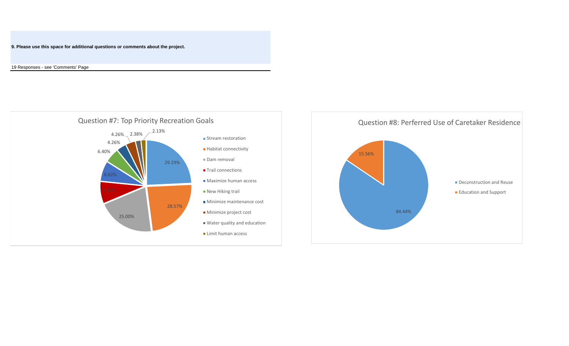**9. Please use this space for additional questions or comments about the project.**

19 Responses - see 'Comments' Page



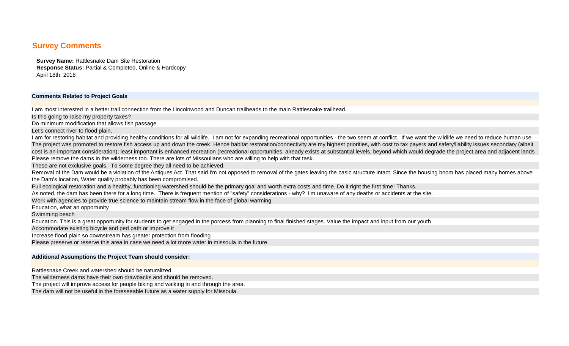## **Survey Comments**

**Survey Name:** Rattlesnake Dam Site Restoration **Response Status:** Partial & Completed, Online & Hardcopy April 18th, 2018

#### **Comments Related to Project Goals**

I am most interested in a better trail connection from the Lincolnwood and Duncan trailheads to the main Rattlesnake trailhead.

Is this going to raise my property taxes?

Do minimum modification that allows fish passage

Let's connect river to flood plain.

I am for restoring habitat and providing healthy conditions for all wildlife. I am not for expanding recreational opportunities - the two seem at conflict. If we want the wildlife we need to reduce human use. The project was promoted to restore fish access up and down the creek. Hence habitat restoration/connectivity are my highest priorities, with cost to tax payers and safety/liability issues secondary (albeit cost is an important consideration); least important is enhanced recreation (recreational opportunities already exists at substantial levels, beyond which would degrade the project area and adjacent lands Please remove the dams in the wilderness too. There are lots of Missoulians who are willing to help with that task.

These are not exclusive goals. To some degree they all need to be achieved.

Removal of the Dam would be a violation of the Antiques Act. That said I'm not opposed to removal of the gates leaving the basic structure intact. Since the housing boom has placed many homes above the Dam's location, Water quality probably has been compromised.

Full ecological restoration and a healthy, functioning watershed should be the primary goal and worth extra costs and time. Do it right the first time! Thanks.

As noted, the dam has been there for a long time. There is frequent mention of "safety" considerations - why? I'm unaware of any deaths or accidents at the site.

Work with agencies to provide true science to maintain stream flow in the face of global warming

Education, what an opportunity

Swimming beach

Education. This is a great opportunity for students to get engaged in the porcess from planning to final finished stages. Value the impact and input from our youth

Accommodate existing bicycle and ped path or improve it

Increase flood plain so downstream has greater protection from flooding

Please preserve or reserve this area in case we need a lot more water in missoula in the future

#### **Additional Assumptions the Project Team should consider:**

Rattlesnake Creek and watershed should be naturalized

The wilderness dams have their own drawbacks and should be removed.

The project will improve access for people biking and walking in and through the area.

The dam will not be useful in the foreseeable future as a water supply for Missoula.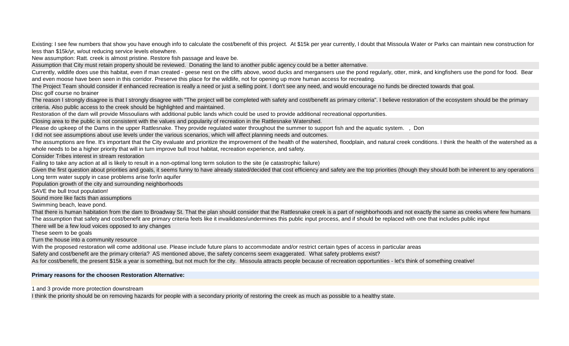Existing: I see few numbers that show you have enough info to calculate the cost/benefit of this project. At \$15k per year currently, I doubt that Missoula Water or Parks can maintain new construction for less than \$15k/yr, w/out reducing service levels elsewhere.

New assumption: Ratt. creek is almost pristine. Restore fish passage and leave be.

Assumption that City must retain property should be reviewed. Donating the land to another public agency could be a better alternative.

Currently, wildlife does use this habitat, even if man created - geese nest on the cliffs above, wood ducks and mergansers use the pond regularly, otter, mink, and kingfishers use the pond for food. Bear and even moose have been seen in this corridor. Preserve this place for the wildlife, not for opening up more human access for recreating.

The Project Team should consider if enhanced recreation is really a need or just a selling point. I don't see any need, and would encourage no funds be directed towards that goal.

Disc golf course no brainer

The reason I strongly disagree is that I strongly disagree with "The project will be completed with safety and cost/benefit as primary criteria". I believe restoration of the ecosystem should be the primary criteria. Also public access to the creek should be highlighted and maintained.

Restoration of the dam will provide Missoulians with additional public lands which could be used to provide additional recreational opportunities.

Closing area to the public is not consistent with the values and popularity of recreation in the Rattlesnake Watershed.

Please do upkeep of the Dams in the upper Rattlesnake. They provide regulated water throughout the summer to support fish and the aquatic system. , Don

I did not see assumptions about use levels under the various scenarios, which will affect planning needs and outcomes.

The assumptions are fine. It's important that the City evaluate and prioritize the improvement of the health of the watershed, floodplain, and natural creek conditions. I think the health of the watershed as a whole needs to be a higher priority that will in turn improve bull trout habitat, recreation experience, and safety.

Consider Tribes interest in stream restoration

Failing to take any action at all is likely to result in a non-optimal long term solution to the site (ie catastrophic failure)

Given the first question about priorities and goals, it seems funny to have already stated/decided that cost efficiency and safety are the top priorities (though they should both be inherent to any operations Long term water supply in case problems arise for/in aquifer

Population growth of the city and surrounding neighborhoods

SAVE the bull trout population!

Sound more like facts than assumptions

Swimming beach, leave pond.

That there is human habitation from the dam to Broadway St. That the plan should consider that the Rattlesnake creek is a part of neighborhoods and not exactly the same as creeks where few humans The assumption that safety and cost/benefit are primary criteria feels like it invailidates/undermines this public input process, and if should be replaced with one that includes public input

There will be a few loud voices opposed to any changes

These seem to be goals

Turn the house into a community resource

With the proposed restoration will come additional use. Please include future plans to accommodate and/or restrict certain types of access in particular areas

Safety and cost/benefit are the primary criteria? AS mentioned above, the safety concerns seem exaggerated. What safety problems exist?

As for cost/benefit, the present \$15k a year is something, but not much for the city. Missoula attracts people because of recreation opportunities - let's think of something creative!

#### **Primary reasons for the choosen Restoration Alternative:**

1 and 3 provide more protection downstream

I think the priority should be on removing hazards for people with a secondary priority of restoring the creek as much as possible to a healthy state.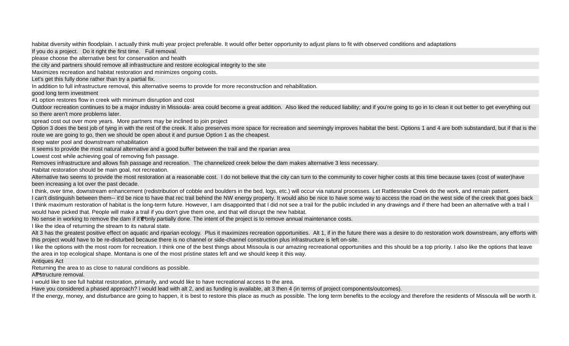habitat diversity within floodplain. I actually think multi year project preferable. It would offer better opportunity to adjust plans to fit with observed conditions and adaptations

If you do a project. Do it right the first time. Full removal.

please choose the alternative best for conservation and health

the city and partners should remove all infrastructure and restore ecological integrity to the site

Maximizes recreation and habitat restoration and minimizes ongoing costs.

Let's get this fully done rather than try a partial fix.

In addition to full infrastructure removal, this alternative seems to provide for more reconstruction and rehabilitation.

good long term investment

#1 option restores flow in creek with minimum disruption and cost

Outdoor recreation continues to be a major industry in Missoula- area could become a great addition. Also liked the reduced liability; and if you're going to go in to clean it out better to get everything out so there aren't more problems later.

spread cost out over more years. More partners may be inclined to join project

Option 3 does the best job of tying in with the rest of the creek. It also preserves more space for recreation and seemingly improves habitat the best. Options 1 and 4 are both substandard, but if that is the route we are going to go, then we should be open about it and pursue Option 1 as the cheapest.

deep water pool and downstream rehabilitation

It seems to provide the most natural alternative and a good buffer between the trail and the riparian area

Lowest cost while achieving goal of removing fish passage.

Removes infrastructure and allows fish passage and recreation. The channelized creek below the dam makes alternative 3 less necessary.

Habitat restoration should be main goal, not recreation.

Alternative two seems to provide the most restoration at a reasonable cost. I do not believe that the city can turn to the community to cover higher costs at this time because taxes (cost of water)have been increasing a lot over the past decade.

I think, over time, downstream enhancement (redistribution of cobble and boulders in the bed, logs, etc.) will occur via natural processes. Let Rattlesnake Creek do the work, and remain patient. I can't distinguish between them-- it'd be nice to have that rec trail behind the NW energy property. It would also be nice to have some way to access the road on the west side of the creek that goes back I think maximum restoration of habitat is the long-term future. However, I am disappointed that I did not see a trail for the public included in any drawings and if there had been an alternative with a trail I would have picked that. People will make a trail if you don't give them one, and that will disrupt the new habitat.

No sense in working to remove the dam if it'€ "only partially done. The intent of the project is to remove annual maintenance costs.

I like the idea of returning the stream to its natural state.

Alt 3 has the greatest positive effect on aquatic and riparian ecology. Plus it maximizes recreation opportunities. Alt 1, if in the future there was a desire to do restoration work downstream, any efforts with this project would have to be re-disturbed because there is no channel or side-channel construction plus infrastructure is left on-site.

I like the options with the most room for recreation. I think one of the best things about Missoula is our amazing recreational opportunities and this should be a top priority. I also like the options that leave the area in top ecological shape. Montana is one of the most pristine states left and we should keep it this way.

Antiques Act

Returning the area to as close to natural conditions as possible.

All<sup>™</sup>structure removal.

I would like to see full habitat restoration, primarily, and would like to have recreational access to the area.

Have you considered a phased approach? I would lead with alt 2, and as funding is available, alt 3 then 4 (in terms of project components/outcomes).

If the energy, money, and disturbance are going to happen, it is best to restore this place as much as possible. The long term benefits to the ecology and therefore the residents of Missoula will be worth it.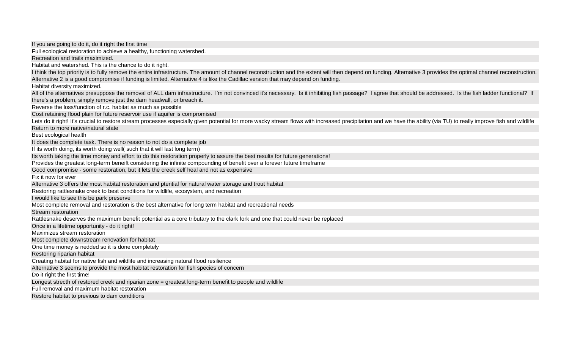If you are going to do it, do it right the first time Full ecological restoration to achieve a healthy, functioning watershed. Recreation and trails maximized. Habitat and watershed. This is the chance to do it right. I think the top priority is to fully remove the entire infrastructure. The amount of channel reconstruction and the extent will then depend on funding. Alternative 3 provides the optimal channel reconstruction. Alternative 2 is a good compromise if funding is limited. Alternative 4 is like the Cadillac version that may depend on funding. Habitat diversity maximized. All of the alternatives presuppose the removal of ALL dam infrastructure. I'm not convinced it's necessary. Is it inhibiting fish passage? I agree that should be addressed. Is the fish ladder functional? If there's a problem, simply remove just the dam headwall, or breach it. Reverse the loss/function of r.c. habitat as much as possible Cost retaining flood plain for future reservoir use if aquifer is compromised Lets do it right! It's crucial to restore stream processes especially given potential for more wacky stream flows with increased precipitation and we have the ability (via TU) to really improve fish and wildlife Return to more native/natural state Best ecological health It does the complete task. There is no reason to not do a complete job If its worth doing, its worth doing well( such that it will last long term) Its worth taking the time money and effort to do this restoration properly to assure the best results for future generations! Provides the greatest long-term beneift considering the infinite compounding of benefit over a forever future timeframe Good compromise - some restoration, but it lets the creek self heal and not as expensive Fix it now for ever Alternative 3 offers the most habitat restoration and ptential for natural water storage and trout habitat Restoring rattlesnake creek to best conditions for wildlife, ecosystem, and recreation I would like to see this be park preserve Most complete removal and restoration is the best alternative for long term habitat and recreational needs Stream restoration Rattlesnake deserves the maximum benefit potential as a core tributary to the clark fork and one that could never be replaced Once in a lifetime opportunity - do it right! Maximizes stream restoration Most complete downstream renovation for habitat One time money is nedded so it is done completely Restoring riparian habitat Creating habitat for native fish and wildlife and increasing natural flood resilience Alternative 3 seems to provide the most habitat restoration for fish species of concern Do it right the first time! Longest strecth of restored creek and riparian zone = greatest long-term benefit to people and wildlife Full removal and maximum habitat restoration Restore habitat to previous to dam conditions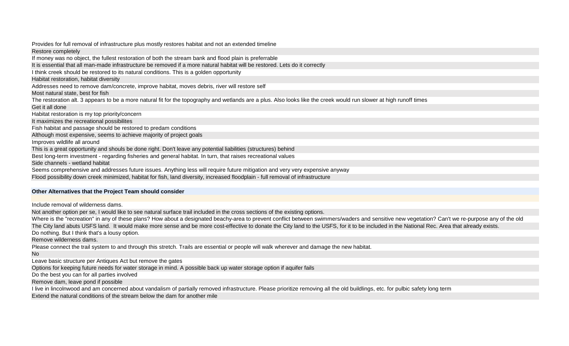Provides for full removal of infrastructure plus mostly restores habitat and not an extended timeline Restore completely If money was no object, the fullest restoration of both the stream bank and flood plain is preferrable It is essential that all man-made infrastructure be removed if a more natural habitat will be restored. Lets do it correctly I think creek should be restored to its natural conditions. This is a golden opportunity Habitat restoration, habitat diversity Addresses need to remove dam/concrete, improve habitat, moves debris, river will restore self Most natural state, best for fish The restoration alt. 3 appears to be a more natural fit for the topography and wetlands are a plus. Also looks like the creek would run slower at high runoff times Get it all done Habitat restoration is my top priority/concern It maximizes the recreational possibilites Fish habitat and passage should be restored to predam conditions Although most expensive, seems to achieve majority of project goals Improves wildlife all around This is a great opportunity and shouls be done right. Don't leave any potential liabilities (structures) behind Best long-term investment - regarding fisheries and general habitat. In turn, that raises recreational values Side channels - wetland habitat Seems comprehensive and addresses future issues. Anything less will require future mitigation and very very expensive anyway Flood possibility down creek minimized, habitat for fish, land diversity, increased floodplain - full removal of infrastructure **Other Alternatives that the Project Team should consider** Include removal of wilderness dams. Not another option per se, I would like to see natural surface trail included in the cross sections of the existing options. Where is the "recreation" in any of these plans? How about a designated beachy-area to prevent conflict between swimmers/waders and sensitive new vegetation? Can't we re-purpose any of the old The City land abuts USFS land. It would make more sense and be more cost-effective to donate the City land to the USFS, for it to be included in the National Rec. Area that already exists. Do nothing. But I think that's a lousy option. Remove wilderness dams. Please connect the trail system to and through this stretch. Trails are essential or people will walk wherever and damage the new habitat. No Leave basic structure per Antiques Act but remove the gates Options for keeping future needs for water storage in mind. A possible back up water storage option if aquifer fails Do the best you can for all parties involved Remove dam, leave pond if possible I live in lincolnwood and am concerned about vandalism of partially removed infrastructure. Please prioritize removing all the old buildlings, etc. for pulbic safety long term Extend the natural conditions of the stream below the dam for another mile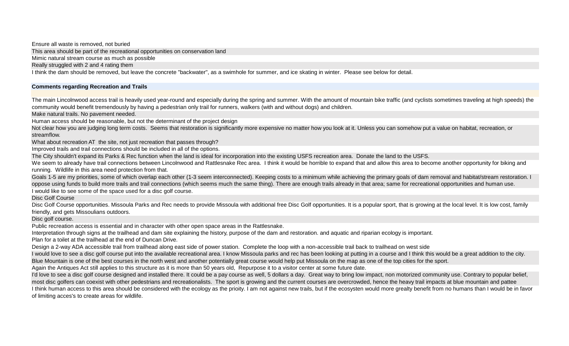Ensure all waste is removed, not buried

This area should be part of the recreational opportunities on conservation land

Mimic natural stream course as much as possible

Really struggled with 2 and 4 rating them

I think the dam should be removed, but leave the concrete "backwater", as a swimhole for summer, and ice skating in winter. Please see below for detail.

### **Comments regarding Recreation and Trails**

The main Lincolnwood access trail is heavily used year-round and especially during the spring and summer. With the amount of mountain bike traffic (and cyclists sometimes traveling at high speeds) the community would benefit tremendously by having a pedestrian only trail for runners, walkers (with and without dogs) and children.

Make natural trails. No pavement needed.

Human access should be reasonable, but not the determinant of the project design

Not clear how you are judging long term costs. Seems that restoration is significantly more expensive no matter how you look at it. Unless you can somehow put a value on habitat, recreation, or streamflow.

What about recreation AT the site, not just recreation that passes through?

Improved trails and trail connections should be included in all of the options.

The City shouldn't expand its Parks & Rec function when the land is ideal for incorporation into the existing USFS recreation area. Donate the land to the USFS.

We seem to already have trail connections between Lincolnwood and Rattlesnake Rec area. I think it would be horrible to expand that and allow this area to become another opportunity for biking and running. Wildlife in this area need protection from that.

Goals 1-5 are my priorities, some of which overlap each other (1-3 seem interconnected). Keeping costs to a minimum while achieving the primary goals of dam removal and habitat/stream restoration. I oppose using funds to build more trails and trail connections (which seems much the same thing). There are enough trails already in that area; same for recreational opportunities and human use. I would like to see some of the space used for a disc golf course.

Disc Golf Course

Disc Golf Course opportunities. Missoula Parks and Rec needs to provide Missoula with additional free Disc Golf opportunities. It is a popular sport, that is growing at the local level. It is low cost, family friendly, and gets Missoulians outdoors.

Disc golf course.

Public recreation access is essential and in character with other open space areas in the Rattlesnake.

Interpretation through signs at the trailhead and dam site explaining the history, purpose of the dam and restoration. and aquatic and riparian ecology is important.

Plan for a toilet at the trailhead at the end of Duncan Drive.

Design a 2-way ADA accessible trail from trailhead along east side of power station. Complete the loop with a non-accessible trail back to trailhead on west side

I would love to see a disc golf course put into the available recreational area. I know Missoula parks and rec has been looking at putting in a course and I think this would be a great addition to the city. Blue Mountain is one of the best courses in the north west and another potentially great course would help put Missoula on the map as one of the top cities for the sport.

Again the Antiques Act still applies to this structure as it is more than 50 years old, Repurpose it to a visitor center at some future date.

I'd love to see a disc golf course designed and installed there. It could be a pay course as well, 5 dollars a day. Great way to bring low impact, non motorized community use. Contrary to popular belief, most disc golfers can coexist with other pedestrians and recreationalists. The sport is growing and the current courses are overcrowded, hence the heavy trail impacts at blue mountain and pattee I think human access to this area should be considered with the ecology as the prioity. I am not against new trails, but if the ecosysten would more grealty benefit from no humans than I would be in favor of limiting acces's to create areas for wildlife.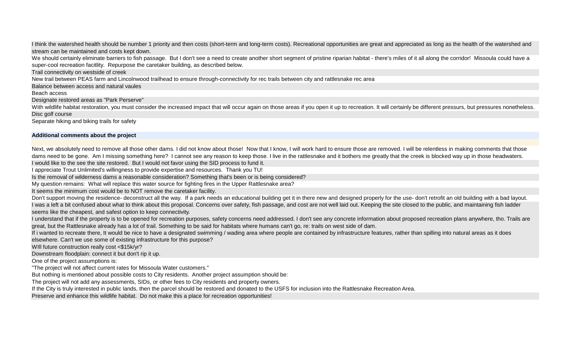I think the watershed health should be number 1 priority and then costs (short-term and long-term costs). Recreational opportunities are great and appreciated as long as the health of the watershed and stream can be maintained and costs kept down.

We should certainly eliminate barriers to fish passage. But I don't see a need to create another short segment of pristine riparian habitat - there's miles of it all along the corridor! Missoula could have a super-cool recreation facitlity. Repurpose the caretaker building, as described below.

Trail connectivity on westside of creek

New trail between PEAS farm and Lincolnwood trailhead to ensure through-connectivity for rec trails between city and rattlesnake rec area

Balance between access and natural vaules

Beach access

Designate restored areas as "Park Perserve"

With wildlife habitat restoration, you must consider the increased impact that will occur again on those areas if you open it up to recreation. It will certainly be different pressurs, but pressures nonetheless. Disc golf course

Separate hiking and biking trails for safety

### **Additional comments about the project**

Next, we absolutely need to remove all those other dams. I did not know about those! Now that I know, I will work hard to ensure those are removed. I will be relentless in making comments that those dams need to be gone. Am I missing something here? I cannot see any reason to keep those. I live in the rattlesnake and it bothers me greatly that the creek is blocked way up in those headwaters. I would like to the see the site restored. But I would not favor using the SID process to fund it.

I appreciate Trout Unlimited's willingness to provide expertise and resources. Thank you TU!

Is the removal of wilderness dams a reasonable consideration? Something that's been or is being considered?

My question remains: What will replace this water source for fighting fires in the Upper Rattlesnake area?

It seems the minimum cost would be to NOT remove the caretaker facility.

Don't support moving the residence- deconstruct all the way. If a park needs an educational building get it in there new and designed properly for the use- don't retrofit an old building with a bad layout. I was a left a bit confused about what to think about this proposal. Concerns over safety, fish passage, and cost are not well laid out. Keeping the site closed to the public, and maintaining fish ladder seems like the cheapest, and safest option to keep connectivity.

I understand that if the property is to be opened for recreation purposes, safety concerns need addressed. I don't see any concrete information about proposed recreation plans anywhere, tho. Trails are great, but the Rattlesnake already has a lot of trail. Something to be said for habitats where humans can't go, re: trails on west side of dam.

If i wanted to recreate there, It would be nice to have a designated swimming / wading area where people are contained by infrastructure features, rather than spilling into natural areas as it does elsewhere. Can't we use some of existing infrastructure for this purpose?

WIII future construction really cost <\$15k/yr?

Downstream floodplain: connect it but don't rip it up.

One of the project assumptions is:

"The project will not affect current rates for Missoula Water customers."

But nothing is mentioned about possible costs to City residents. Another project assumption should be:

The project will not add any assessments, SIDs, or other fees to City residents and property owners.

If the City is truly interested in public lands, then the parcel should be restored and donated to the USFS for inclusion into the Rattlesnake Recreation Area.

Preserve and enhance this wildlife habitat. Do not make this a place for recreation opportunities!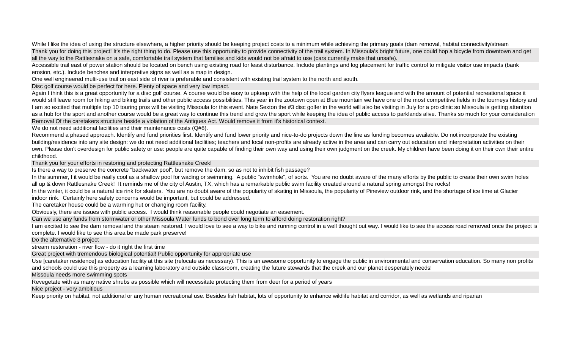While I like the idea of using the structure elsewhere, a higher priority should be keeping project costs to a minimum while achieving the primary goals (dam removal, habitat connectivity/stream Thank you for doing this project! It's the right thing to do. Please use this opportunity to provide connectivity of the trail system. In Missoula's bright future, one could hop a bicycle from downtown and get all the way to the Rattlesnake on a safe, comfortable trail system that families and kids would not be afraid to use (cars currently make that unsafe).

Accessible trail east of power station should be located on bench using existing road for least disturbance. Include plantings and log placement for traffic control to mitigate visitor use impacts (bank erosion, etc.). Include benches and interpretive signs as well as a map in design.

One well engineered multi-use trail on east side of river is preferable and consistent with existing trail system to the north and south.

Disc golf course would be perfect for here. Plenty of space and very low impact.

Again I think this is a great opportunity for a disc golf course. A course would be easy to upkeep with the help of the local garden city flyers league and with the amount of potential recreational space it would still leave room for hiking and biking trails and other public access possibilities. This year in the zootown open at Blue mountain we have one of the most competitive fields in the tourneys history and I am so excited that multiple top 10 touring pros will be visiting Missoula for this event. Nate Sexton the #3 disc golfer in the world will also be visiting in July for a pro clinic so Missoula is getting attention as a hub for the sport and another course would be a great way to continue this trend and grow the sport while keeping the idea of public access to parklands alive. Thanks so much for your consideration Removal Of the caretakers structure beside a violation of the Antiques Act. Would remove it from it's historical context.

We do not need additional facilities and their maintenance costs (Q#8).

Recommend a phased approach. Identify and fund priorities first. Identify and fund lower priority and nice-to-do projects down the line as funding becomes available. Do not incorporate the existing building/residence into any site design: we do not need additional facilities; teachers and local non-profits are already active in the area and can carry out education and interpretation activities on their own. Please don't overdesign for public safety or use: people are quite capable of finding their own way and using their own judgment on the creek. My children have been doing it on their own their entire childhood.

Thank you for your efforts in restoring and protecting Rattlesnake Creek!

Is there a way to preserve the concrete "backwater pool", but remove the dam, so as not to inhibit fish passage?

In the summer, I it would be really cool as a shallow pool for wading or swimming. A public "swimhole", of sorts. You are no doubt aware of the many efforts by the public to create their own swim holes all up & down Rattlesnake Creek! It reminds me of the city of Austin, TX, which has a remarkable public swim facility created around a natural spring amongst the rocks!

In the winter, it could be a natural ice rink for skaters. You are no doubt aware of the popularity of skating in Missoula, the popularity of Pineview outdoor rink, and the shortage of ice time at Glacier indoor rink. Certainly here safety concerns would be important, but could be addressed.

The caretaker house could be a warming hut or changing room facility.

Obviously, there are issues with public access. I would think reasonable people could negotiate an easement.

Can we use any funds from stormwater or other Missoula Water funds to bond over long term to afford doing restoration right?

I am excited to see the dam removal and the steam restored. I would love to see a way to bike and running control in a well thought out way. I would like to see the access road removed once the project is complete. I would like to see this area be made park preserve!

Do the alternative 3 project

stream restoration - river flow - do it right the first time

Great project with tremendous biological potential! Public opportunity for appropriate use

Use [caretaker residence] as education facility at this site (relocate as necessary). This is an awesome opportunity to engage the public in environmental and conservation education. So many non profits and schools could use this property as a learning laboratory and outside classroom, creating the future stewards that the creek and our planet desperately needs!

Missoula needs more swimming spots

Revegetate with as many native shrubs as possible which will necessitate protecting them from deer for a period of years

Nice project - very ambitious

Keep priority on habitat, not additional or any human recreational use. Besides fish habitat, lots of opportunity to enhance wildlife habitat and corridor, as well as wetlands and riparian